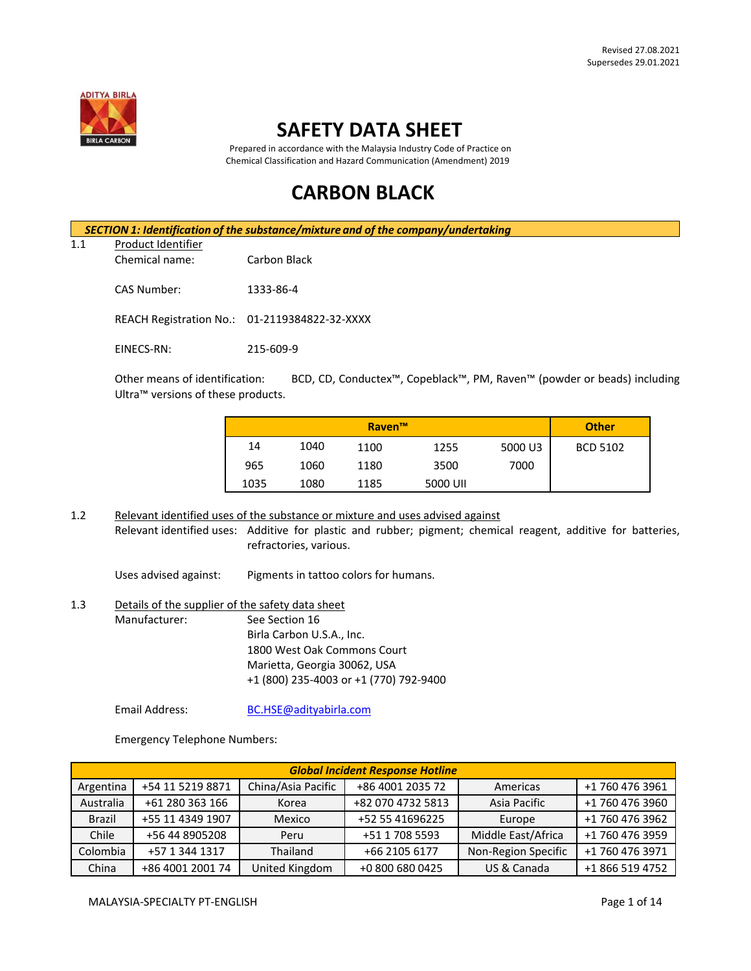

# **SAFETY DATA SHEET**

 Prepared in accordance with the Malaysia Industry Code of Practice on Chemical Classification and Hazard Communication (Amendment) 2019

# **CARBON BLACK**

*SECTION 1: Identification of the substance/mixture and of the company/undertaking*

# 1.1 Product Identifier

Chemical name: Carbon Black

CAS Number: 1333-86-4

REACH Registration No.: 01-2119384822-32-XXXX

EINECS-RN: 215-609-9

Other means of identification: BCD, CD, Conductex™, Copeblack™, PM, Raven™ (powder or beads) including Ultra™ versions of these products.

|      |      | Raven <sup>™</sup> |          |         | <b>Other</b> |
|------|------|--------------------|----------|---------|--------------|
| 14   | 1040 | 1100               | 1255     | 5000 U3 | BCD 5102     |
| 965  | 1060 | 1180               | 3500     | 7000    |              |
| 1035 | 1080 | 1185               | 5000 UII |         |              |

1.2 Relevant identified uses of the substance or mixture and uses advised against Relevant identified uses: Additive for plastic and rubber; pigment; chemical reagent, additive for batteries, refractories, various.

Uses advised against: Pigments in tattoo colors for humans.

# 1.3 Details of the supplier of the safety data sheet Manufacturer: See Section 16 Birla Carbon U.S.A., Inc. 1800 West Oak Commons Court Marietta, Georgia 30062, USA +1 (800) 235-4003 or +1 (770) 792-9400

Email Address: [BC.HSE@adityabirla.com](mailto:BC.HSE@adityabirla.com)

Emergency Telephone Numbers:

| <b>Global Incident Response Hotline</b> |                  |                    |                   |                     |                 |
|-----------------------------------------|------------------|--------------------|-------------------|---------------------|-----------------|
| Argentina                               | +54 11 5219 8871 | China/Asia Pacific | +86 4001 2035 72  | Americas            | +1 760 476 3961 |
| Australia                               | +61 280 363 166  | Korea              | +82 070 4732 5813 | Asia Pacific        | +1 760 476 3960 |
| <b>Brazil</b>                           | +55 11 4349 1907 | Mexico             | +52 55 41696225   | Europe              | +1 760 476 3962 |
| Chile                                   | +56 44 8905208   | Peru               | +51 1 708 5593    | Middle East/Africa  | +1 760 476 3959 |
| Colombia                                | +57 1 344 1317   | Thailand           | +66 2105 6177     | Non-Region Specific | +1 760 476 3971 |
| China                                   | +86 4001 2001 74 | United Kingdom     | +0 800 680 0425   | US & Canada         | +1 866 519 4752 |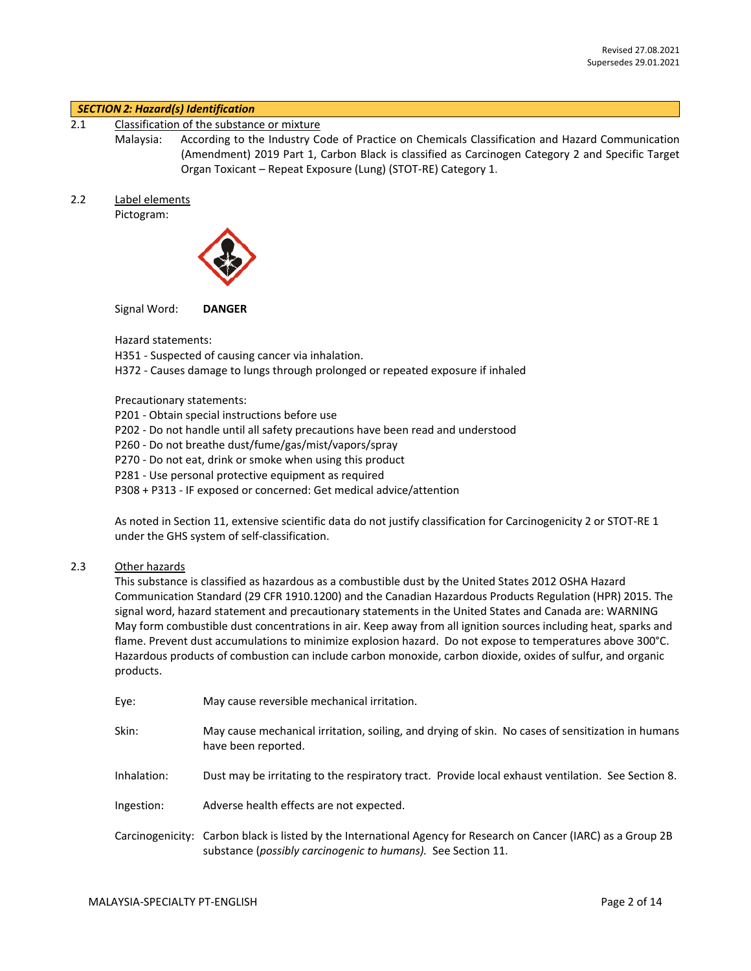#### *SECTION 2: Hazard(s) Identification*

2.1 Classification of the substance or mixture

Malaysia: According to the Industry Code of Practice on Chemicals Classification and Hazard Communication (Amendment) 2019 Part 1, Carbon Black is classified as Carcinogen Category 2 and Specific Target Organ Toxicant – Repeat Exposure (Lung) (STOT-RE) Category 1.

2.2 Label elements

Pictogram:



Signal Word: **DANGER**

Hazard statements:

H351 - Suspected of causing cancer via inhalation.

H372 - Causes damage to lungs through prolonged or repeated exposure if inhaled

Precautionary statements:

P201 - Obtain special instructions before use

P202 - Do not handle until all safety precautions have been read and understood

P260 - Do not breathe dust/fume/gas/mist/vapors/spray

P270 - Do not eat, drink or smoke when using this product

P281 - Use personal protective equipment as required

P308 + P313 - IF exposed or concerned: Get medical advice/attention

As noted in Section 11, extensive scientific data do not justify classification for Carcinogenicity 2 or STOT-RE 1 under the GHS system of self-classification.

### 2.3 Other hazards

This substance is classified as hazardous as a combustible dust by the United States 2012 OSHA Hazard Communication Standard (29 CFR 1910.1200) and the Canadian Hazardous Products Regulation (HPR) 2015. The signal word, hazard statement and precautionary statements in the United States and Canada are: WARNING May form combustible dust concentrations in air. Keep away from all ignition sources including heat, sparks and flame. Prevent dust accumulations to minimize explosion hazard. Do not expose to temperatures above 300°C. Hazardous products of combustion can include carbon monoxide, carbon dioxide, oxides of sulfur, and organic products.

| Eye:        | May cause reversible mechanical irritation.                                                                                                                                     |
|-------------|---------------------------------------------------------------------------------------------------------------------------------------------------------------------------------|
| Skin:       | May cause mechanical irritation, soiling, and drying of skin. No cases of sensitization in humans<br>have been reported.                                                        |
| Inhalation: | Dust may be irritating to the respiratory tract. Provide local exhaust ventilation. See Section 8.                                                                              |
| Ingestion:  | Adverse health effects are not expected.                                                                                                                                        |
|             | Carcinogenicity: Carbon black is listed by the International Agency for Research on Cancer (IARC) as a Group 2B<br>substance (possibly carcinogenic to humans). See Section 11. |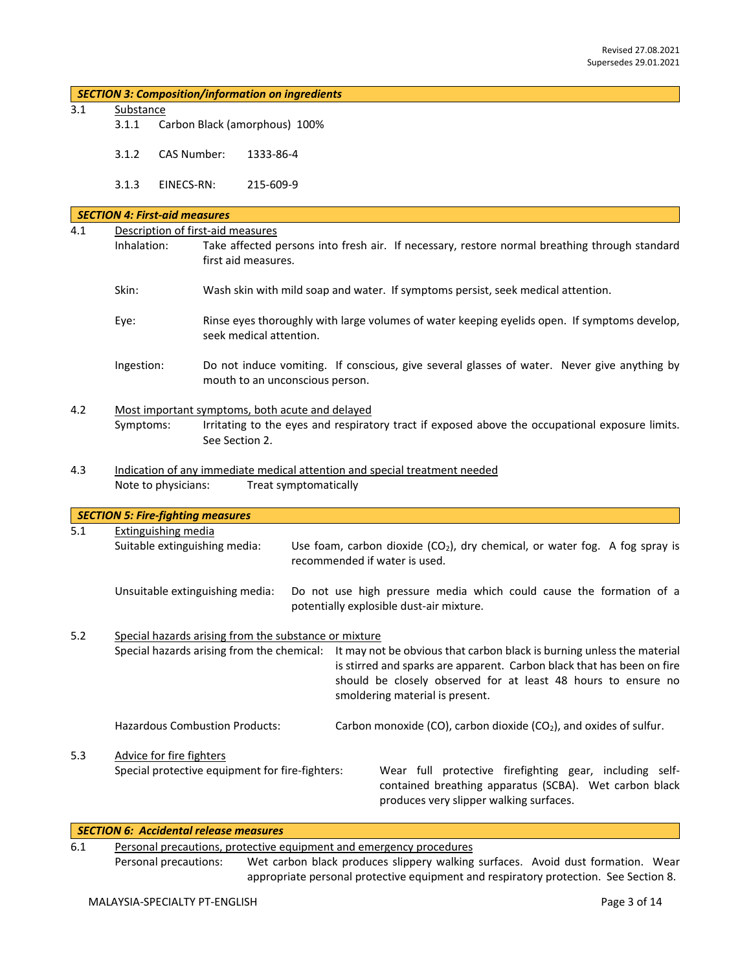|  | <b>SECTION 3: Composition/information on ingredients</b> |  |
|--|----------------------------------------------------------|--|
|--|----------------------------------------------------------|--|

- 3.1 Substance
	- 3.1.1 Carbon Black (amorphous) 100%
	- 3.1.2 CAS Number: 1333-86-4
	- 3.1.3 EINECS-RN: 215-609-9

|                                          | <b>SECTION 4: First-aid measures</b>                        |                                                       |  |                                                                                                                                                                                                                                                                                                 |
|------------------------------------------|-------------------------------------------------------------|-------------------------------------------------------|--|-------------------------------------------------------------------------------------------------------------------------------------------------------------------------------------------------------------------------------------------------------------------------------------------------|
| 4.1<br>Description of first-aid measures |                                                             |                                                       |  |                                                                                                                                                                                                                                                                                                 |
|                                          | Inhalation:                                                 | first aid measures.                                   |  | Take affected persons into fresh air. If necessary, restore normal breathing through standard                                                                                                                                                                                                   |
|                                          | Skin:                                                       |                                                       |  | Wash skin with mild soap and water. If symptoms persist, seek medical attention.                                                                                                                                                                                                                |
|                                          | Eye:                                                        | seek medical attention.                               |  | Rinse eyes thoroughly with large volumes of water keeping eyelids open. If symptoms develop,                                                                                                                                                                                                    |
|                                          | Ingestion:                                                  | mouth to an unconscious person.                       |  | Do not induce vomiting. If conscious, give several glasses of water. Never give anything by                                                                                                                                                                                                     |
| 4.2                                      |                                                             | Most important symptoms, both acute and delayed       |  |                                                                                                                                                                                                                                                                                                 |
|                                          | Symptoms:                                                   | See Section 2.                                        |  | Irritating to the eyes and respiratory tract if exposed above the occupational exposure limits.                                                                                                                                                                                                 |
| 4.3                                      | Note to physicians:                                         | Treat symptomatically                                 |  | Indication of any immediate medical attention and special treatment needed                                                                                                                                                                                                                      |
|                                          |                                                             |                                                       |  |                                                                                                                                                                                                                                                                                                 |
|                                          | <b>SECTION 5: Fire-fighting measures</b>                    |                                                       |  |                                                                                                                                                                                                                                                                                                 |
| 5.1                                      | <b>Extinguishing media</b><br>Suitable extinguishing media: |                                                       |  | Use foam, carbon dioxide $(CO_2)$ , dry chemical, or water fog. A fog spray is<br>recommended if water is used.                                                                                                                                                                                 |
|                                          | Unsuitable extinguishing media:                             |                                                       |  | Do not use high pressure media which could cause the formation of a<br>potentially explosible dust-air mixture.                                                                                                                                                                                 |
| 5.2                                      |                                                             | Special hazards arising from the substance or mixture |  |                                                                                                                                                                                                                                                                                                 |
|                                          |                                                             |                                                       |  | Special hazards arising from the chemical: It may not be obvious that carbon black is burning unless the material<br>is stirred and sparks are apparent. Carbon black that has been on fire<br>should be closely observed for at least 48 hours to ensure no<br>smoldering material is present. |
|                                          |                                                             | <b>Hazardous Combustion Products:</b>                 |  | Carbon monoxide (CO), carbon dioxide (CO <sub>2</sub> ), and oxides of sulfur.                                                                                                                                                                                                                  |
| 5.3                                      | Advice for fire fighters                                    | Special protective equipment for fire-fighters:       |  | Wear full protective firefighting gear, including self-<br>contained breathing apparatus (SCBA). Wet carbon black<br>produces very slipper walking surfaces.                                                                                                                                    |

6.1 Personal precautions, protective equipment and emergency procedures

Personal precautions: Wet carbon black produces slippery walking surfaces. Avoid dust formation. Wear appropriate personal protective equipment and respiratory protection. See Section 8.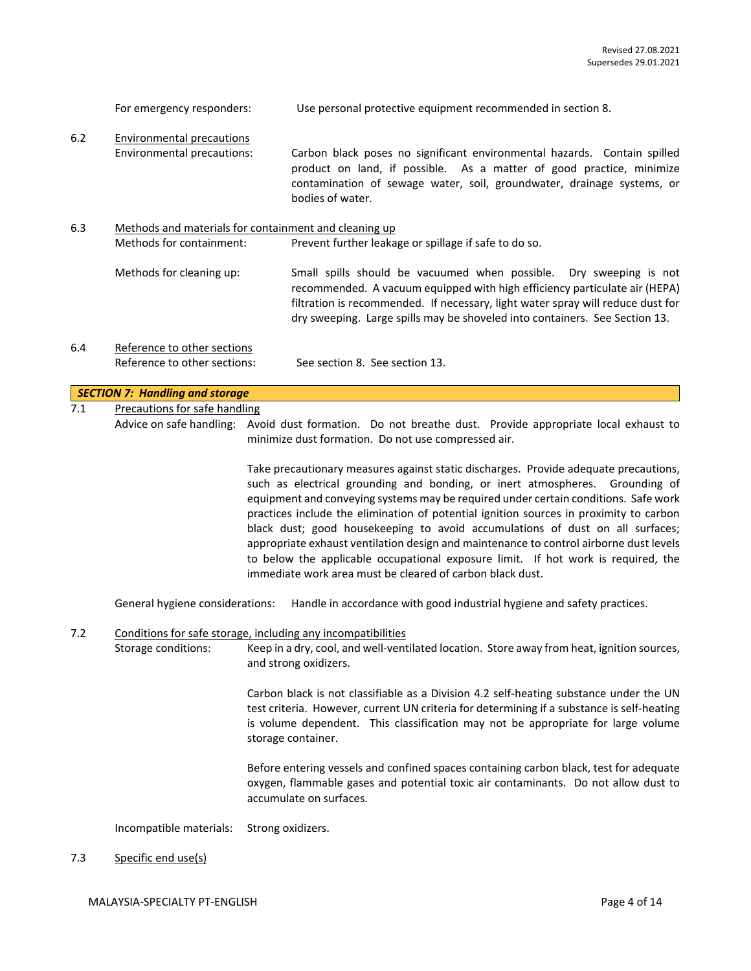| $6.2$ | <b>Environmental precautions</b><br>Environmental precautions: | Carbon black poses no significant environmental hazards. Contain spilled<br>product on land, if possible. As a matter of good practice, minimize<br>contamination of sewage water, soil, groundwater, drainage systems, or<br>bodies of water.                                                                                                                                                                                                                                                                                                                                                                                                                                     |
|-------|----------------------------------------------------------------|------------------------------------------------------------------------------------------------------------------------------------------------------------------------------------------------------------------------------------------------------------------------------------------------------------------------------------------------------------------------------------------------------------------------------------------------------------------------------------------------------------------------------------------------------------------------------------------------------------------------------------------------------------------------------------|
| 6.3   | Methods for containment:                                       | Methods and materials for containment and cleaning up<br>Prevent further leakage or spillage if safe to do so.                                                                                                                                                                                                                                                                                                                                                                                                                                                                                                                                                                     |
|       | Methods for cleaning up:                                       | Small spills should be vacuumed when possible. Dry sweeping is not<br>recommended. A vacuum equipped with high efficiency particulate air (HEPA)<br>filtration is recommended. If necessary, light water spray will reduce dust for<br>dry sweeping. Large spills may be shoveled into containers. See Section 13.                                                                                                                                                                                                                                                                                                                                                                 |
| 6.4   | Reference to other sections                                    |                                                                                                                                                                                                                                                                                                                                                                                                                                                                                                                                                                                                                                                                                    |
|       | Reference to other sections:                                   | See section 8. See section 13.                                                                                                                                                                                                                                                                                                                                                                                                                                                                                                                                                                                                                                                     |
|       | <b>SECTION 7: Handling and storage</b>                         |                                                                                                                                                                                                                                                                                                                                                                                                                                                                                                                                                                                                                                                                                    |
| 7.1   | <b>Precautions for safe handling</b>                           |                                                                                                                                                                                                                                                                                                                                                                                                                                                                                                                                                                                                                                                                                    |
|       |                                                                | Advice on safe handling: Avoid dust formation. Do not breathe dust. Provide appropriate local exhaust to<br>minimize dust formation. Do not use compressed air.                                                                                                                                                                                                                                                                                                                                                                                                                                                                                                                    |
|       |                                                                | Take precautionary measures against static discharges. Provide adequate precautions,<br>such as electrical grounding and bonding, or inert atmospheres. Grounding of<br>equipment and conveying systems may be required under certain conditions. Safe work<br>practices include the elimination of potential ignition sources in proximity to carbon<br>black dust; good housekeeping to avoid accumulations of dust on all surfaces;<br>appropriate exhaust ventilation design and maintenance to control airborne dust levels<br>to below the applicable occupational exposure limit. If hot work is required, the<br>immediate work area must be cleared of carbon black dust. |
|       | General hygiene considerations:                                | Handle in accordance with good industrial hygiene and safety practices.                                                                                                                                                                                                                                                                                                                                                                                                                                                                                                                                                                                                            |
| 7.2   | Storage conditions:                                            | Conditions for safe storage, including any incompatibilities<br>Keep in a dry, cool, and well-ventilated location. Store away from heat, ignition sources,<br>and strong oxidizers.                                                                                                                                                                                                                                                                                                                                                                                                                                                                                                |
|       |                                                                | Carbon black is not classifiable as a Division 4.2 self-heating substance under the UN<br>test criteria. However, current UN criteria for determining if a substance is self-heating<br>is volume dependent. This classification may not be appropriate for large volume<br>storage container.                                                                                                                                                                                                                                                                                                                                                                                     |
|       |                                                                | Before entering vessels and confined spaces containing carbon black, test for adequate<br>oxygen, flammable gases and potential toxic air contaminants. Do not allow dust to<br>accumulate on surfaces.                                                                                                                                                                                                                                                                                                                                                                                                                                                                            |
|       | Incompatible materials:                                        | Strong oxidizers.                                                                                                                                                                                                                                                                                                                                                                                                                                                                                                                                                                                                                                                                  |
| 7.3   | Specific end use(s)                                            |                                                                                                                                                                                                                                                                                                                                                                                                                                                                                                                                                                                                                                                                                    |
|       | MALAYSIA-SPECIALTY PT-ENGLISH                                  | Page 4 of 14                                                                                                                                                                                                                                                                                                                                                                                                                                                                                                                                                                                                                                                                       |

For emergency responders: Use personal protective equipment recommended in section 8.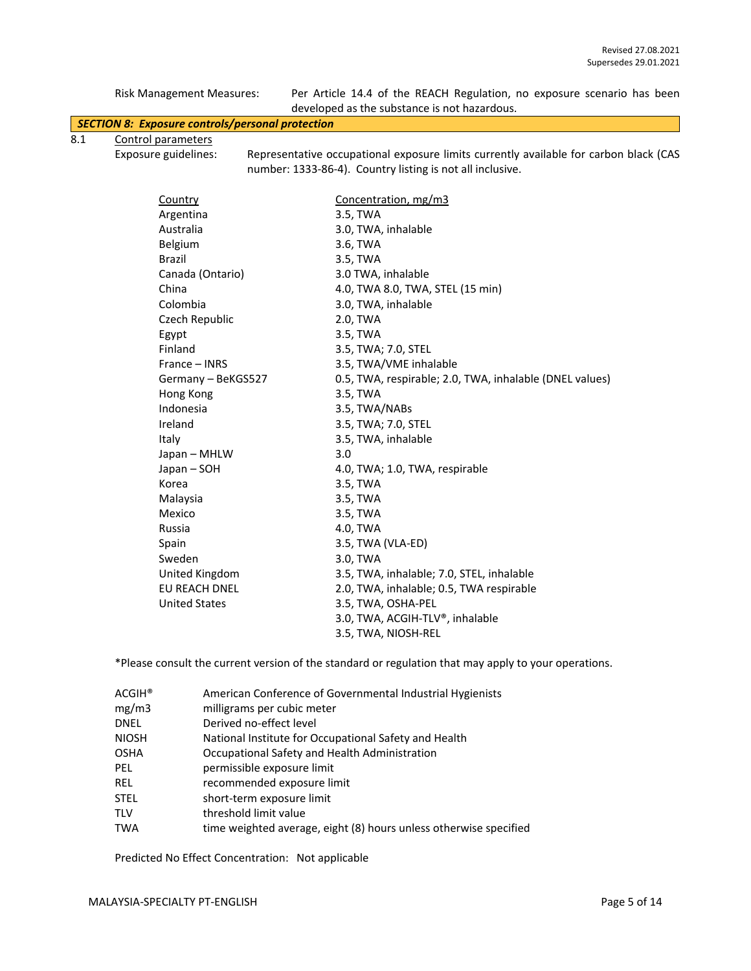|     | <b>Risk Management Measures:</b>                        | Per Article 14.4 of the REACH Regulation, no exposure scenario has been<br>developed as the substance is not hazardous.                            |
|-----|---------------------------------------------------------|----------------------------------------------------------------------------------------------------------------------------------------------------|
|     | <b>SECTION 8: Exposure controls/personal protection</b> |                                                                                                                                                    |
| 8.1 | Control parameters                                      |                                                                                                                                                    |
|     | Exposure guidelines:                                    | Representative occupational exposure limits currently available for carbon black (CAS<br>number: 1333-86-4). Country listing is not all inclusive. |

| Country              | Concentration, mg/m3                                    |
|----------------------|---------------------------------------------------------|
| Argentina            | 3.5, TWA                                                |
| Australia            | 3.0, TWA, inhalable                                     |
| Belgium              | 3.6, TWA                                                |
| <b>Brazil</b>        | 3.5, TWA                                                |
| Canada (Ontario)     | 3.0 TWA, inhalable                                      |
| China                | 4.0, TWA 8.0, TWA, STEL (15 min)                        |
| Colombia             | 3.0, TWA, inhalable                                     |
| Czech Republic       | 2.0, TWA                                                |
| Egypt                | 3.5, TWA                                                |
| Finland              | 3.5, TWA; 7.0, STEL                                     |
| France - INRS        | 3.5, TWA/VME inhalable                                  |
| Germany - BeKGS527   | 0.5, TWA, respirable; 2.0, TWA, inhalable (DNEL values) |
| Hong Kong            | 3.5, TWA                                                |
| Indonesia            | 3.5, TWA/NABs                                           |
| Ireland              | 3.5, TWA; 7.0, STEL                                     |
| Italy                | 3.5, TWA, inhalable                                     |
| Japan - MHLW         | 3.0                                                     |
| Japan – SOH          | 4.0, TWA; 1.0, TWA, respirable                          |
| Korea                | 3.5, TWA                                                |
| Malaysia             | 3.5, TWA                                                |
| Mexico               | 3.5, TWA                                                |
| Russia               | 4.0, TWA                                                |
| Spain                | 3.5, TWA (VLA-ED)                                       |
| Sweden               | 3.0, TWA                                                |
| United Kingdom       | 3.5, TWA, inhalable; 7.0, STEL, inhalable               |
| EU REACH DNEL        | 2.0, TWA, inhalable; 0.5, TWA respirable                |
| <b>United States</b> | 3.5, TWA, OSHA-PEL                                      |
|                      | 3.0, TWA, ACGIH-TLV®, inhalable                         |
|                      | 3.5, TWA, NIOSH-REL                                     |

\*Please consult the current version of the standard or regulation that may apply to your operations.

| American Conference of Governmental Industrial Hygienists         |
|-------------------------------------------------------------------|
| milligrams per cubic meter                                        |
| Derived no-effect level                                           |
| National Institute for Occupational Safety and Health             |
| Occupational Safety and Health Administration                     |
| permissible exposure limit                                        |
| recommended exposure limit                                        |
| short-term exposure limit                                         |
| threshold limit value                                             |
| time weighted average, eight (8) hours unless otherwise specified |
|                                                                   |

Predicted No Effect Concentration: Not applicable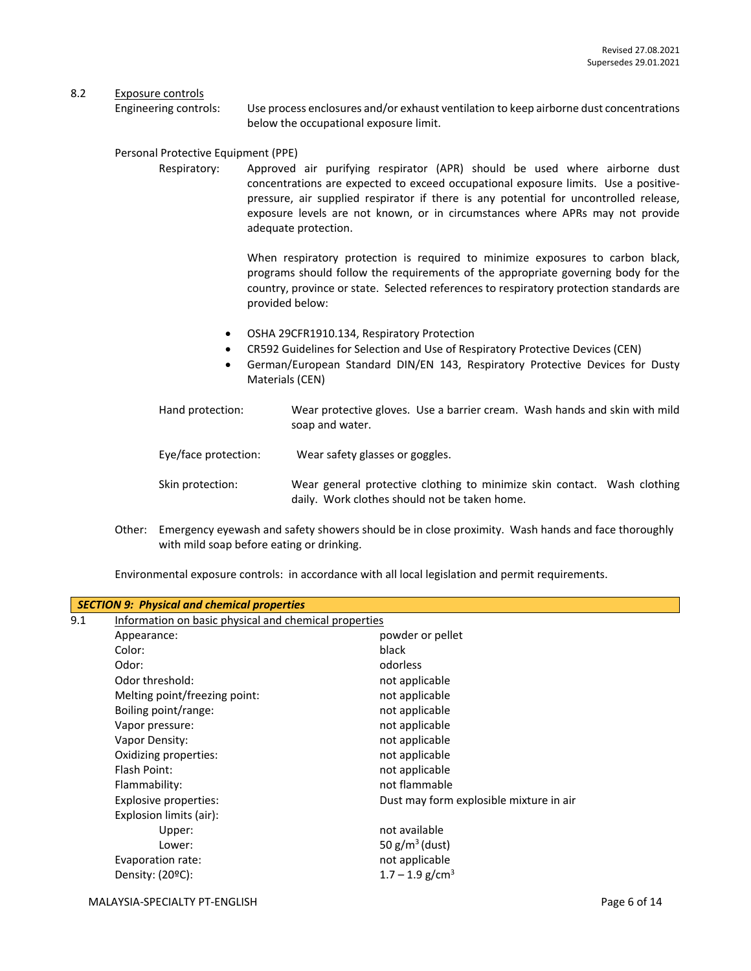#### 8.2 Exposure controls

Engineering controls: Use process enclosures and/or exhaust ventilation to keep airborne dust concentrations below the occupational exposure limit.

#### Personal Protective Equipment (PPE)

Respiratory: Approved air purifying respirator (APR) should be used where airborne dust concentrations are expected to exceed occupational exposure limits. Use a positivepressure, air supplied respirator if there is any potential for uncontrolled release, exposure levels are not known, or in circumstances where APRs may not provide adequate protection.

> When respiratory protection is required to minimize exposures to carbon black, programs should follow the requirements of the appropriate governing body for the country, province or state. Selected references to respiratory protection standards are provided below:

- OSHA 29CFR1910.134, Respiratory Protection
- CR592 Guidelines for Selection and Use of Respiratory Protective Devices (CEN)
- German/European Standard DIN/EN 143, Respiratory Protective Devices for Dusty Materials (CEN)
- Hand protection: Wear protective gloves. Use a barrier cream. Wash hands and skin with mild soap and water.
- Eye/face protection: Wear safety glasses or goggles.
- Skin protection: Wear general protective clothing to minimize skin contact. Wash clothing daily. Work clothes should not be taken home.
- Other: Emergency eyewash and safety showers should be in close proximity. Wash hands and face thoroughly with mild soap before eating or drinking.

Environmental exposure controls: in accordance with all local legislation and permit requirements.

| <b>SECTION 9: Physical and chemical properties</b> |                               |                                                       |  |  |  |
|----------------------------------------------------|-------------------------------|-------------------------------------------------------|--|--|--|
| 9.1                                                |                               | Information on basic physical and chemical properties |  |  |  |
|                                                    | Appearance:                   | powder or pellet                                      |  |  |  |
|                                                    | Color:                        | black                                                 |  |  |  |
|                                                    | Odor:                         | odorless                                              |  |  |  |
|                                                    | Odor threshold:               | not applicable                                        |  |  |  |
|                                                    | Melting point/freezing point: | not applicable                                        |  |  |  |
|                                                    | Boiling point/range:          | not applicable                                        |  |  |  |
|                                                    | Vapor pressure:               | not applicable                                        |  |  |  |
|                                                    | Vapor Density:                | not applicable                                        |  |  |  |
|                                                    | Oxidizing properties:         | not applicable                                        |  |  |  |
|                                                    | Flash Point:                  | not applicable                                        |  |  |  |
|                                                    | Flammability:                 | not flammable                                         |  |  |  |
|                                                    | Explosive properties:         | Dust may form explosible mixture in air               |  |  |  |
|                                                    | Explosion limits (air):       |                                                       |  |  |  |
|                                                    | Upper:                        | not available                                         |  |  |  |
|                                                    | Lower:                        | 50 $g/m^3$ (dust)                                     |  |  |  |
|                                                    | Evaporation rate:             | not applicable                                        |  |  |  |
|                                                    | Density: $(20^{\circ}C)$ :    | $1.7 - 1.9$ g/cm <sup>3</sup>                         |  |  |  |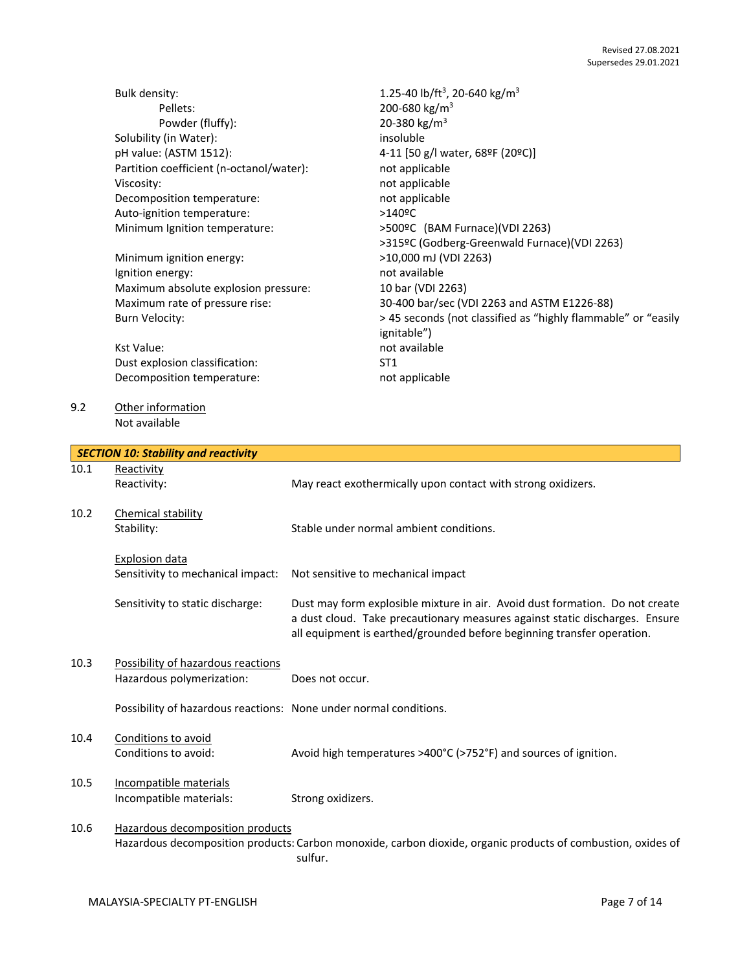|     | <b>Bulk density:</b>                     | 1.25-40 lb/ft <sup>3</sup> , 20-640 kg/m <sup>3</sup>         |
|-----|------------------------------------------|---------------------------------------------------------------|
|     | Pellets:                                 | 200-680 kg/m <sup>3</sup>                                     |
|     | Powder (fluffy):                         | 20-380 kg/m <sup>3</sup>                                      |
|     | Solubility (in Water):                   | insoluble                                                     |
|     | pH value: (ASTM 1512):                   | 4-11 [50 g/l water, 68°F (20°C)]                              |
|     | Partition coefficient (n-octanol/water): | not applicable                                                |
|     | Viscosity:                               | not applicable                                                |
|     | Decomposition temperature:               | not applicable                                                |
|     | Auto-ignition temperature:               | $>140$ <sup>o</sup> C                                         |
|     | Minimum Ignition temperature:            | >500ºC (BAM Furnace)(VDI 2263)                                |
|     |                                          | >315ºC (Godberg-Greenwald Furnace)(VDI 2263)                  |
|     | Minimum ignition energy:                 | >10,000 mJ (VDI 2263)                                         |
|     | Ignition energy:                         | not available                                                 |
|     | Maximum absolute explosion pressure:     | 10 bar (VDI 2263)                                             |
|     | Maximum rate of pressure rise:           | 30-400 bar/sec (VDI 2263 and ASTM E1226-88)                   |
|     | Burn Velocity:                           | > 45 seconds (not classified as "highly flammable" or "easily |
|     |                                          | ignitable")                                                   |
|     | <b>Kst Value:</b>                        | not available                                                 |
|     | Dust explosion classification:           | ST <sub>1</sub>                                               |
|     | Decomposition temperature:               | not applicable                                                |
| 9.2 | Other information                        |                                                               |

|      | <b>SECTION 10: Stability and reactivity</b>                       |                                                                                                                                                                                                                                       |  |
|------|-------------------------------------------------------------------|---------------------------------------------------------------------------------------------------------------------------------------------------------------------------------------------------------------------------------------|--|
| 10.1 | Reactivity                                                        |                                                                                                                                                                                                                                       |  |
|      | Reactivity:                                                       | May react exothermically upon contact with strong oxidizers.                                                                                                                                                                          |  |
| 10.2 | Chemical stability                                                |                                                                                                                                                                                                                                       |  |
|      | Stability:                                                        | Stable under normal ambient conditions.                                                                                                                                                                                               |  |
|      | <b>Explosion data</b>                                             |                                                                                                                                                                                                                                       |  |
|      | Sensitivity to mechanical impact:                                 | Not sensitive to mechanical impact                                                                                                                                                                                                    |  |
|      | Sensitivity to static discharge:                                  | Dust may form explosible mixture in air. Avoid dust formation. Do not create<br>a dust cloud. Take precautionary measures against static discharges. Ensure<br>all equipment is earthed/grounded before beginning transfer operation. |  |
| 10.3 | Possibility of hazardous reactions                                |                                                                                                                                                                                                                                       |  |
|      | Hazardous polymerization:                                         | Does not occur.                                                                                                                                                                                                                       |  |
|      | Possibility of hazardous reactions: None under normal conditions. |                                                                                                                                                                                                                                       |  |
| 10.4 | Conditions to avoid                                               |                                                                                                                                                                                                                                       |  |
|      | Conditions to avoid:                                              | Avoid high temperatures >400°C (>752°F) and sources of ignition.                                                                                                                                                                      |  |
| 10.5 | Incompatible materials                                            |                                                                                                                                                                                                                                       |  |
|      | Incompatible materials:                                           | Strong oxidizers.                                                                                                                                                                                                                     |  |
| 10.6 | Hazardous decomposition products                                  |                                                                                                                                                                                                                                       |  |
|      |                                                                   | Hazardous decomposition products: Carbon monoxide, carbon dioxide, organic products of combustion, oxides of<br>sulfur.                                                                                                               |  |

Not available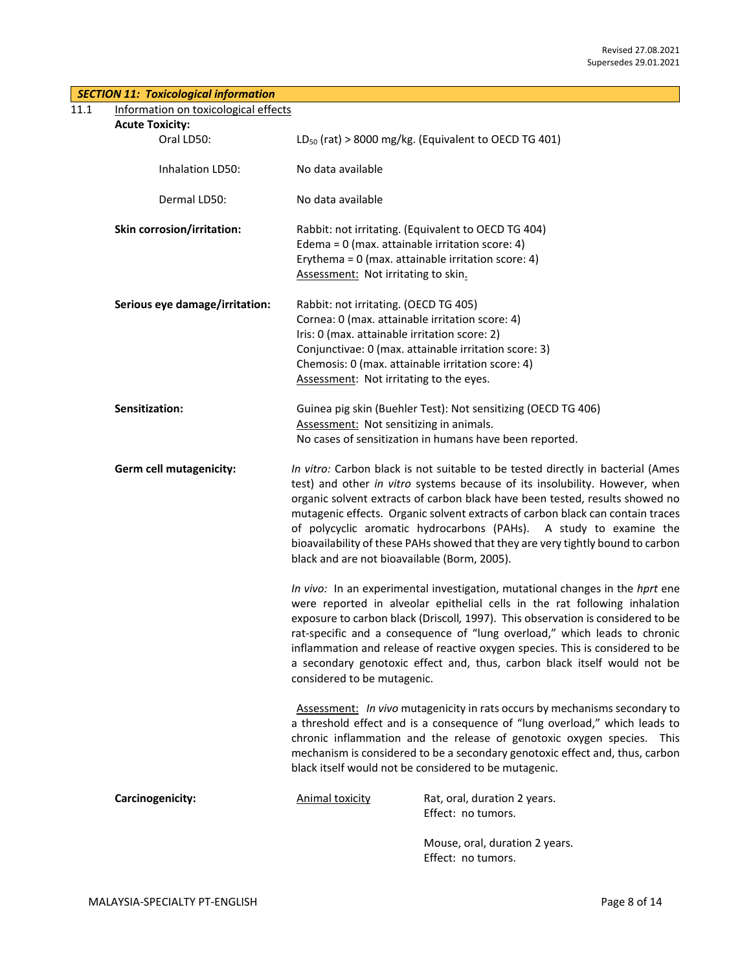| <b>SECTION 11: Toxicological information</b> |                                                                                                                                                                                                                                                                                                                                                                                                                                                                                                                                           |
|----------------------------------------------|-------------------------------------------------------------------------------------------------------------------------------------------------------------------------------------------------------------------------------------------------------------------------------------------------------------------------------------------------------------------------------------------------------------------------------------------------------------------------------------------------------------------------------------------|
| 11.1<br>Information on toxicological effects |                                                                                                                                                                                                                                                                                                                                                                                                                                                                                                                                           |
| <b>Acute Toxicity:</b>                       |                                                                                                                                                                                                                                                                                                                                                                                                                                                                                                                                           |
| Oral LD50:                                   | $LD_{50}$ (rat) > 8000 mg/kg. (Equivalent to OECD TG 401)                                                                                                                                                                                                                                                                                                                                                                                                                                                                                 |
| Inhalation LD50:                             | No data available                                                                                                                                                                                                                                                                                                                                                                                                                                                                                                                         |
| Dermal LD50:                                 | No data available                                                                                                                                                                                                                                                                                                                                                                                                                                                                                                                         |
| Skin corrosion/irritation:                   | Rabbit: not irritating. (Equivalent to OECD TG 404)<br>Edema = $0$ (max. attainable irritation score: 4)<br>Erythema = $0$ (max. attainable irritation score: 4)<br>Assessment: Not irritating to skin.                                                                                                                                                                                                                                                                                                                                   |
| Serious eye damage/irritation:               | Rabbit: not irritating. (OECD TG 405)<br>Cornea: 0 (max. attainable irritation score: 4)<br>Iris: 0 (max. attainable irritation score: 2)<br>Conjunctivae: 0 (max. attainable irritation score: 3)<br>Chemosis: 0 (max. attainable irritation score: 4)<br>Assessment: Not irritating to the eyes.                                                                                                                                                                                                                                        |
| Sensitization:                               | Guinea pig skin (Buehler Test): Not sensitizing (OECD TG 406)<br>Assessment: Not sensitizing in animals.<br>No cases of sensitization in humans have been reported.                                                                                                                                                                                                                                                                                                                                                                       |
| Germ cell mutagenicity:                      | In vitro: Carbon black is not suitable to be tested directly in bacterial (Ames<br>test) and other in vitro systems because of its insolubility. However, when<br>organic solvent extracts of carbon black have been tested, results showed no<br>mutagenic effects. Organic solvent extracts of carbon black can contain traces<br>of polycyclic aromatic hydrocarbons (PAHs). A study to examine the<br>bioavailability of these PAHs showed that they are very tightly bound to carbon<br>black and are not bioavailable (Borm, 2005). |
|                                              | In vivo: In an experimental investigation, mutational changes in the hprt ene<br>were reported in alveolar epithelial cells in the rat following inhalation<br>exposure to carbon black (Driscoll, 1997). This observation is considered to be<br>rat-specific and a consequence of "lung overload," which leads to chronic<br>inflammation and release of reactive oxygen species. This is considered to be<br>a secondary genotoxic effect and, thus, carbon black itself would not be<br>considered to be mutagenic.                   |
|                                              | Assessment: In vivo mutagenicity in rats occurs by mechanisms secondary to<br>a threshold effect and is a consequence of "lung overload," which leads to<br>chronic inflammation and the release of genotoxic oxygen species. This<br>mechanism is considered to be a secondary genotoxic effect and, thus, carbon<br>black itself would not be considered to be mutagenic.                                                                                                                                                               |
| Carcinogenicity:                             | <b>Animal toxicity</b><br>Rat, oral, duration 2 years.<br>Effect: no tumors.                                                                                                                                                                                                                                                                                                                                                                                                                                                              |
|                                              | Mouse, oral, duration 2 years.<br>Effect: no tumors.                                                                                                                                                                                                                                                                                                                                                                                                                                                                                      |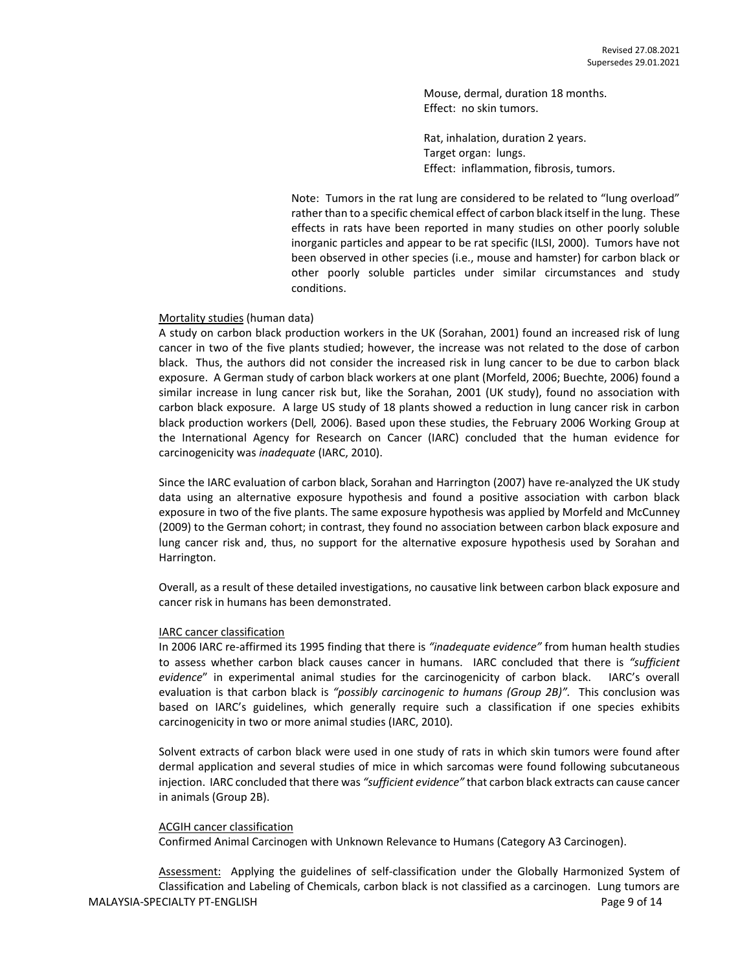Mouse, dermal, duration 18 months. Effect: no skin tumors.

Rat, inhalation, duration 2 years. Target organ: lungs. Effect: inflammation, fibrosis, tumors.

Note: Tumors in the rat lung are considered to be related to "lung overload" rather than to a specific chemical effect of carbon black itself in the lung. These effects in rats have been reported in many studies on other poorly soluble inorganic particles and appear to be rat specific (ILSI, 2000). Tumors have not been observed in other species (i.e., mouse and hamster) for carbon black or other poorly soluble particles under similar circumstances and study conditions.

#### Mortality studies (human data)

A study on carbon black production workers in the UK (Sorahan, 2001) found an increased risk of lung cancer in two of the five plants studied; however, the increase was not related to the dose of carbon black. Thus, the authors did not consider the increased risk in lung cancer to be due to carbon black exposure. A German study of carbon black workers at one plant (Morfeld, 2006; Buechte, 2006) found a similar increase in lung cancer risk but, like the Sorahan, 2001 (UK study), found no association with carbon black exposure. A large US study of 18 plants showed a reduction in lung cancer risk in carbon black production workers (Dell*,* 2006). Based upon these studies, the February 2006 Working Group at the International Agency for Research on Cancer (IARC) concluded that the human evidence for carcinogenicity was *inadequate* (IARC, 2010).

Since the IARC evaluation of carbon black, Sorahan and Harrington (2007) have re-analyzed the UK study data using an alternative exposure hypothesis and found a positive association with carbon black exposure in two of the five plants. The same exposure hypothesis was applied by Morfeld and McCunney (2009) to the German cohort; in contrast, they found no association between carbon black exposure and lung cancer risk and, thus, no support for the alternative exposure hypothesis used by Sorahan and Harrington.

Overall, as a result of these detailed investigations, no causative link between carbon black exposure and cancer risk in humans has been demonstrated.

#### IARC cancer classification

In 2006 IARC re-affirmed its 1995 finding that there is *"inadequate evidence"* from human health studies to assess whether carbon black causes cancer in humans. IARC concluded that there is *"sufficient evidence*" in experimental animal studies for the carcinogenicity of carbon black. IARC's overall evaluation is that carbon black is *"possibly carcinogenic to humans (Group 2B)".* This conclusion was based on IARC's guidelines, which generally require such a classification if one species exhibits carcinogenicity in two or more animal studies (IARC, 2010).

Solvent extracts of carbon black were used in one study of rats in which skin tumors were found after dermal application and several studies of mice in which sarcomas were found following subcutaneous injection. IARC concluded that there was *"sufficient evidence"* that carbon black extracts can cause cancer in animals (Group 2B).

#### ACGIH cancer classification

Confirmed Animal Carcinogen with Unknown Relevance to Humans (Category A3 Carcinogen).

MALAYSIA-SPECIALTY PT-ENGLISH PAGE 2001 14 Assessment: Applying the guidelines of self-classification under the Globally Harmonized System of Classification and Labeling of Chemicals, carbon black is not classified as a carcinogen. Lung tumors are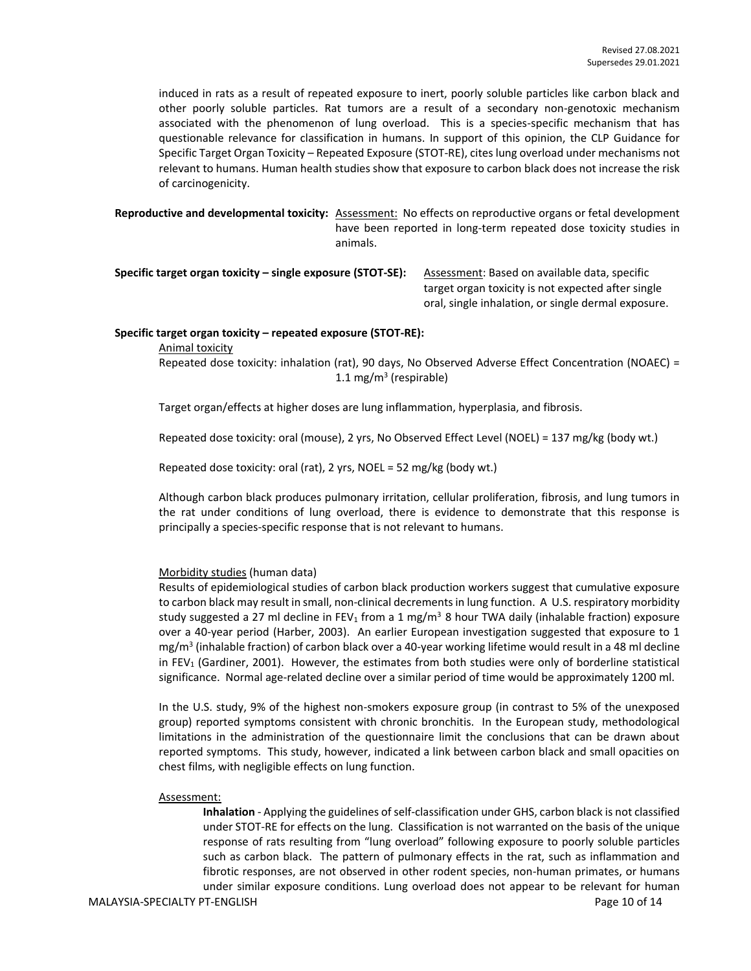induced in rats as a result of repeated exposure to inert, poorly soluble particles like carbon black and other poorly soluble particles. Rat tumors are a result of a secondary non-genotoxic mechanism associated with the phenomenon of lung overload. This is a species-specific mechanism that has questionable relevance for classification in humans. In support of this opinion, the CLP Guidance for Specific Target Organ Toxicity – Repeated Exposure (STOT-RE), cites lung overload under mechanisms not relevant to humans. Human health studies show that exposure to carbon black does not increase the risk of carcinogenicity.

**Reproductive and developmental toxicity:** Assessment: No effects on reproductive organs or fetal development have been reported in long-term repeated dose toxicity studies in animals.

**Specific target organ toxicity – single exposure (STOT-SE):** Assessment: Based on available data, specific target organ toxicity is not expected after single oral, single inhalation, or single dermal exposure.

#### **Specific target organ toxicity – repeated exposure (STOT-RE):**

Animal toxicity

Repeated dose toxicity: inhalation (rat), 90 days, No Observed Adverse Effect Concentration (NOAEC) = 1.1 mg/m<sup>3</sup> (respirable)

Target organ/effects at higher doses are lung inflammation, hyperplasia, and fibrosis.

Repeated dose toxicity: oral (mouse), 2 yrs, No Observed Effect Level (NOEL) = 137 mg/kg (body wt.)

Repeated dose toxicity: oral (rat), 2 yrs, NOEL = 52 mg/kg (body wt.)

Although carbon black produces pulmonary irritation, cellular proliferation, fibrosis, and lung tumors in the rat under conditions of lung overload, there is evidence to demonstrate that this response is principally a species-specific response that is not relevant to humans.

#### Morbidity studies (human data)

Results of epidemiological studies of carbon black production workers suggest that cumulative exposure to carbon black may result in small, non-clinical decrements in lung function. A U.S. respiratory morbidity study suggested a 27 ml decline in FEV<sub>1</sub> from a 1 mg/m<sup>3</sup> 8 hour TWA daily (inhalable fraction) exposure over a 40-year period (Harber, 2003). An earlier European investigation suggested that exposure to 1 mg/m<sup>3</sup> (inhalable fraction) of carbon black over a 40-year working lifetime would result in a 48 ml decline in  $FEV<sub>1</sub>$  (Gardiner, 2001). However, the estimates from both studies were only of borderline statistical significance. Normal age-related decline over a similar period of time would be approximately 1200 ml.

In the U.S. study, 9% of the highest non-smokers exposure group (in contrast to 5% of the unexposed group) reported symptoms consistent with chronic bronchitis. In the European study, methodological limitations in the administration of the questionnaire limit the conclusions that can be drawn about reported symptoms. This study, however, indicated a link between carbon black and small opacities on chest films, with negligible effects on lung function.

#### Assessment:

**Inhalation** - Applying the guidelines of self-classification under GHS, carbon black is not classified under STOT-RE for effects on the lung. Classification is not warranted on the basis of the unique response of rats resulting from "lung overload" following exposure to poorly soluble particles such as carbon black. The pattern of pulmonary effects in the rat, such as inflammation and fibrotic responses, are not observed in other rodent species, non-human primates, or humans under similar exposure conditions. Lung overload does not appear to be relevant for human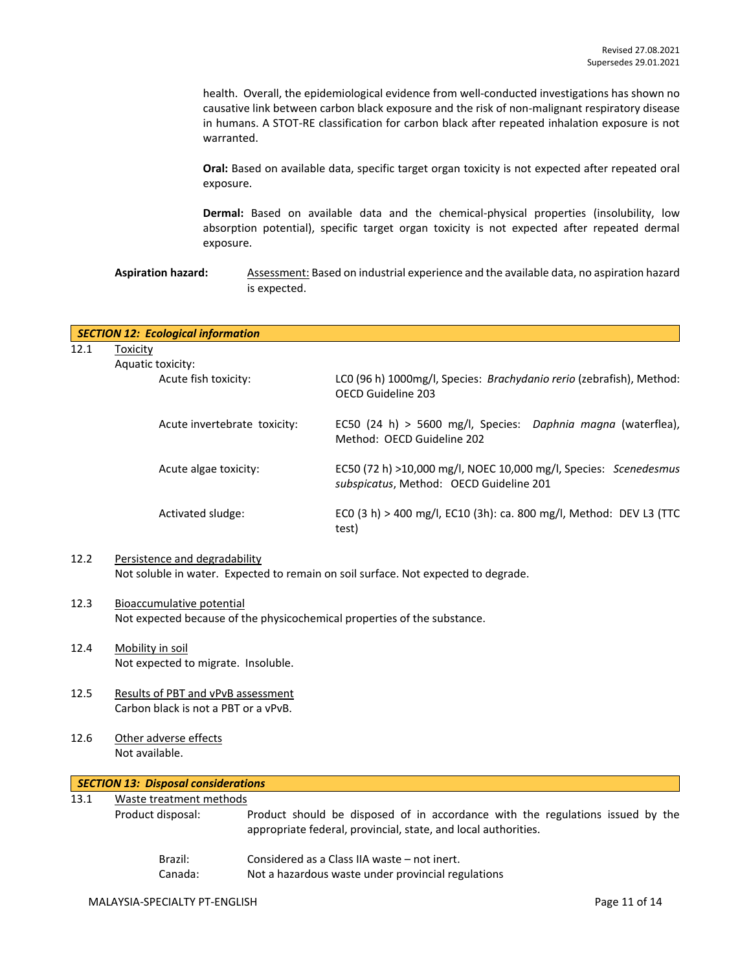health. Overall, the epidemiological evidence from well-conducted investigations has shown no causative link between carbon black exposure and the risk of non-malignant respiratory disease in humans. A STOT-RE classification for carbon black after repeated inhalation exposure is not warranted.

**Oral:** Based on available data, specific target organ toxicity is not expected after repeated oral exposure.

**Dermal:** Based on available data and the chemical-physical properties (insolubility, low absorption potential), specific target organ toxicity is not expected after repeated dermal exposure.

Aspiration hazard: Assessment: Based on industrial experience and the available data, no aspiration hazard is expected.

|      | <b>SECTION 12: Ecological information</b> |                                                                                                             |
|------|-------------------------------------------|-------------------------------------------------------------------------------------------------------------|
| 12.1 | Toxicity                                  |                                                                                                             |
|      | Aquatic toxicity:                         |                                                                                                             |
|      | Acute fish toxicity:                      | LCO (96 h) 1000mg/l, Species: Brachydanio rerio (zebrafish), Method:<br>OECD Guideline 203                  |
|      | Acute invertebrate toxicity:              | EC50 (24 h) > 5600 mg/l, Species: Daphnia magna (waterflea),<br>Method: OFCD Guideline 202                  |
|      | Acute algae toxicity:                     | EC50 (72 h) >10,000 mg/l, NOEC 10,000 mg/l, Species: Scenedesmus<br>subspicatus, Method: OECD Guideline 201 |
|      | Activated sludge:                         | ECO (3 h) > 400 mg/l, EC10 (3h): ca. 800 mg/l, Method: DEV L3 (TTC<br>test)                                 |

### 12.2 Persistence and degradability Not soluble in water. Expected to remain on soil surface. Not expected to degrade.

- 12.3 Bioaccumulative potential Not expected because of the physicochemical properties of the substance.
- 12.4 Mobility in soil Not expected to migrate. Insoluble.
- 12.5 Results of PBT and vPvB assessment Carbon black is not a PBT or a vPvB.
- 12.6 Other adverse effects Not available.

## *SECTION 13: Disposal considerations*

13.1 Waste treatment methods Product disposal: Product should be disposed of in accordance with the regulations issued by the appropriate federal, provincial, state, and local authorities. Brazil: Considered as a Class IIA waste – not inert. Canada: Not a hazardous waste under provincial regulations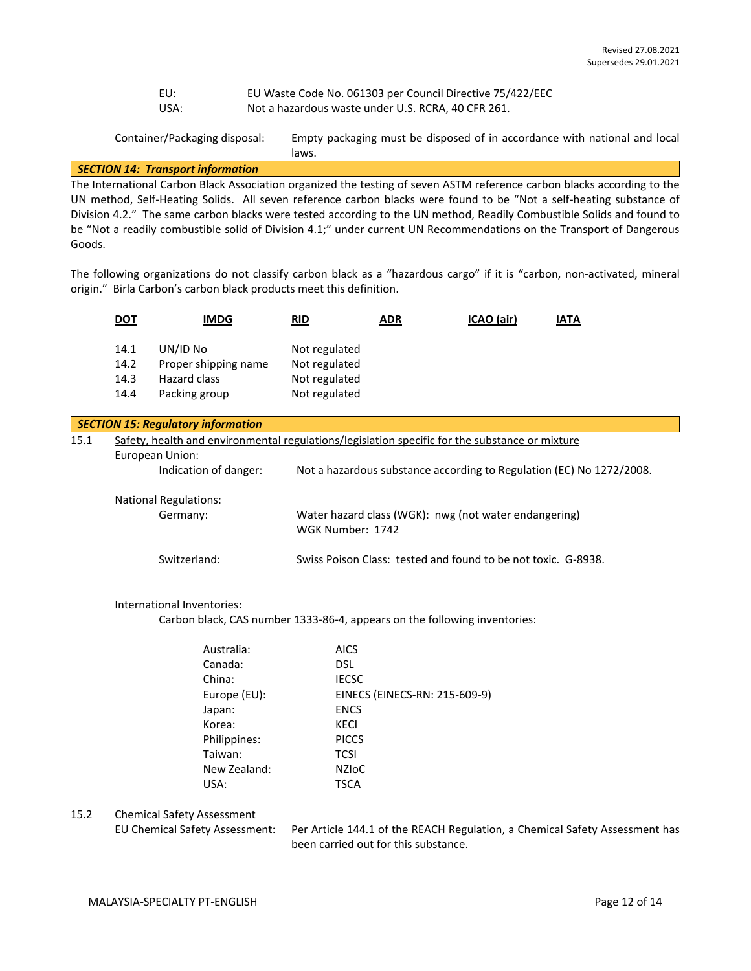EU: EU Waste Code No. 061303 per Council Directive 75/422/EEC USA: Not a hazardous waste under U.S. RCRA, 40 CFR 261.

Container/Packaging disposal: Empty packaging must be disposed of in accordance with national and local laws.

## *SECTION 14: Transport information*

The International Carbon Black Association organized the testing of seven ASTM reference carbon blacks according to the UN method, Self-Heating Solids. All seven reference carbon blacks were found to be "Not a self-heating substance of Division 4.2." The same carbon blacks were tested according to the UN method, Readily Combustible Solids and found to be "Not a readily combustible solid of Division 4.1;" under current UN Recommendations on the Transport of Dangerous Goods.

The following organizations do not classify carbon black as a "hazardous cargo" if it is "carbon, non-activated, mineral origin." Birla Carbon's carbon black products meet this definition.

|      | <u>DOT</u>                                                                                                        | IMDG                       | <b>RID</b>                                                                | <b>ADR</b> | ICAO (air)                                                    | <b>IATA</b>                                                          |
|------|-------------------------------------------------------------------------------------------------------------------|----------------------------|---------------------------------------------------------------------------|------------|---------------------------------------------------------------|----------------------------------------------------------------------|
|      | 14.1                                                                                                              | UN/ID No                   | Not regulated                                                             |            |                                                               |                                                                      |
|      | 14.2                                                                                                              | Proper shipping name       | Not regulated                                                             |            |                                                               |                                                                      |
|      | 14.3                                                                                                              | Hazard class               | Not regulated                                                             |            |                                                               |                                                                      |
|      | 14.4                                                                                                              | Packing group              | Not regulated                                                             |            |                                                               |                                                                      |
|      |                                                                                                                   |                            |                                                                           |            |                                                               |                                                                      |
|      | <b>SECTION 15: Regulatory information</b>                                                                         |                            |                                                                           |            |                                                               |                                                                      |
| 15.1 | Safety, health and environmental regulations/legislation specific for the substance or mixture<br>European Union: |                            |                                                                           |            |                                                               |                                                                      |
|      |                                                                                                                   |                            |                                                                           |            |                                                               |                                                                      |
|      |                                                                                                                   | Indication of danger:      |                                                                           |            |                                                               | Not a hazardous substance according to Regulation (EC) No 1272/2008. |
|      | <b>National Regulations:</b>                                                                                      |                            |                                                                           |            |                                                               |                                                                      |
|      |                                                                                                                   | Germany:                   | Water hazard class (WGK): nwg (not water endangering)<br>WGK Number: 1742 |            |                                                               |                                                                      |
|      |                                                                                                                   | Switzerland:               |                                                                           |            | Swiss Poison Class: tested and found to be not toxic. G-8938. |                                                                      |
|      |                                                                                                                   | International Inventories: |                                                                           |            |                                                               |                                                                      |

Carbon black, CAS number 1333-86-4, appears on the following inventories:

| Australia:   | <b>AICS</b>                   |
|--------------|-------------------------------|
|              |                               |
| Canada:      | <b>DSL</b>                    |
| China:       | <b>IECSC</b>                  |
| Europe (EU): | EINECS (EINECS-RN: 215-609-9) |
| Japan:       | <b>ENCS</b>                   |
| Korea:       | <b>KECI</b>                   |
| Philippines: | <b>PICCS</b>                  |
| Taiwan:      | <b>TCSI</b>                   |
| New Zealand: | <b>NZIOC</b>                  |
| USA:         | <b>TSCA</b>                   |
|              |                               |

#### 15.2 Chemical Safety Assessment

EU Chemical Safety Assessment: Per Article 144.1 of the REACH Regulation, a Chemical Safety Assessment has been carried out for this substance.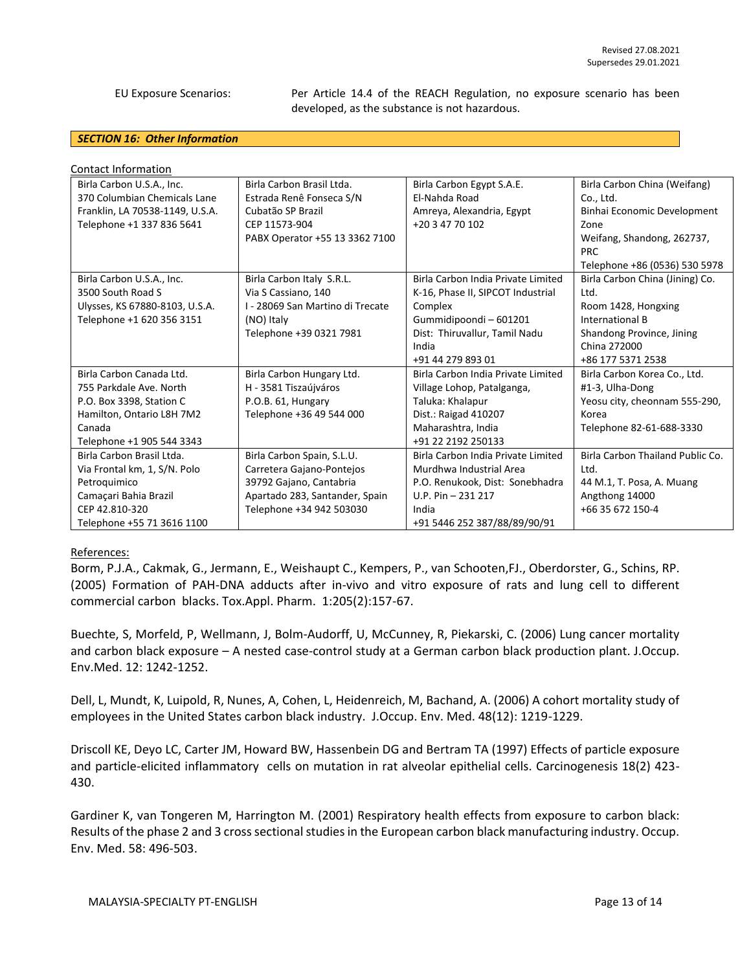EU Exposure Scenarios: Per Article 14.4 of the REACH Regulation, no exposure scenario has been developed, as the substance is not hazardous.

#### *SECTION 16: Other Information*

| <b>Contact Information</b>      |                                  |                                    |                                  |
|---------------------------------|----------------------------------|------------------------------------|----------------------------------|
| Birla Carbon U.S.A., Inc.       | Birla Carbon Brasil Ltda.        | Birla Carbon Egypt S.A.E.          | Birla Carbon China (Weifang)     |
| 370 Columbian Chemicals Lane    | Estrada Renê Fonseca S/N         | El-Nahda Road                      | Co., Ltd.                        |
| Franklin, LA 70538-1149, U.S.A. | Cubatão SP Brazil                | Amreya, Alexandria, Egypt          | Binhai Economic Development      |
| Telephone +1 337 836 5641       | CEP 11573-904                    | +20 3 47 70 102                    | Zone                             |
|                                 | PABX Operator +55 13 3362 7100   |                                    | Weifang, Shandong, 262737,       |
|                                 |                                  |                                    | <b>PRC</b>                       |
|                                 |                                  |                                    | Telephone +86 (0536) 530 5978    |
| Birla Carbon U.S.A., Inc.       | Birla Carbon Italy S.R.L.        | Birla Carbon India Private Limited | Birla Carbon China (Jining) Co.  |
| 3500 South Road S               | Via S Cassiano, 140              | K-16, Phase II, SIPCOT Industrial  | Ltd.                             |
| Ulysses, KS 67880-8103, U.S.A.  | I - 28069 San Martino di Trecate | Complex                            | Room 1428, Hongxing              |
| Telephone +1 620 356 3151       | (NO) Italy                       | Gummidipoondi - 601201             | International B                  |
|                                 | Telephone +39 0321 7981          | Dist: Thiruvallur, Tamil Nadu      | Shandong Province, Jining        |
|                                 |                                  | India                              | China 272000                     |
|                                 |                                  | +91 44 279 893 01                  | +86 177 5371 2538                |
| Birla Carbon Canada Ltd.        | Birla Carbon Hungary Ltd.        | Birla Carbon India Private Limited | Birla Carbon Korea Co., Ltd.     |
| 755 Parkdale Ave. North         | H - 3581 Tiszaújváros            | Village Lohop, Patalganga,         | #1-3, Ulha-Dong                  |
| P.O. Box 3398, Station C        | P.O.B. 61, Hungary               | Taluka: Khalapur                   | Yeosu city, cheonnam 555-290,    |
| Hamilton, Ontario L8H 7M2       | Telephone +36 49 544 000         | Dist.: Raigad 410207               | Korea                            |
| Canada                          |                                  | Maharashtra, India                 | Telephone 82-61-688-3330         |
| Telephone +1 905 544 3343       |                                  | +91 22 2192 250133                 |                                  |
| Birla Carbon Brasil Ltda.       | Birla Carbon Spain, S.L.U.       | Birla Carbon India Private Limited | Birla Carbon Thailand Public Co. |
| Via Frontal km, 1, S/N. Polo    | Carretera Gajano-Pontejos        | Murdhwa Industrial Area            | Ltd.                             |
| Petroquimico                    | 39792 Gajano, Cantabria          | P.O. Renukook, Dist: Sonebhadra    | 44 M.1, T. Posa, A. Muang        |
| Camaçari Bahia Brazil           | Apartado 283, Santander, Spain   | $U.P. Pin - 231 217$               | Angthong 14000                   |
| CEP 42.810-320                  | Telephone +34 942 503030         | India                              | +66 35 672 150-4                 |
| Telephone +55 71 3616 1100      |                                  | +91 5446 252 387/88/89/90/91       |                                  |

#### References:

Borm, P.J.A., Cakmak, G., Jermann, E., Weishaupt C., Kempers, P., van Schooten,FJ., Oberdorster, G., Schins, RP. (2005) Formation of PAH-DNA adducts after in-vivo and vitro exposure of rats and lung cell to different commercial carbon blacks. Tox.Appl. Pharm. 1:205(2):157-67.

Buechte, S, Morfeld, P, Wellmann, J, Bolm-Audorff, U, McCunney, R, Piekarski, C. (2006) Lung cancer mortality and carbon black exposure – A nested case-control study at a German carbon black production plant. J.Occup. Env.Med. 12: 1242-1252.

Dell, L, Mundt, K, Luipold, R, Nunes, A, Cohen, L, Heidenreich, M, Bachand, A. (2006) A cohort mortality study of employees in the United States carbon black industry. J.Occup. Env. Med. 48(12): 1219-1229.

Driscoll KE, Deyo LC, Carter JM, Howard BW, Hassenbein DG and Bertram TA (1997) Effects of particle exposure and particle-elicited inflammatory cells on mutation in rat alveolar epithelial cells. Carcinogenesis 18(2) 423- 430.

Gardiner K, van Tongeren M, Harrington M. (2001) Respiratory health effects from exposure to carbon black: Results of the phase 2 and 3 cross sectional studies in the European carbon black manufacturing industry. Occup. Env. Med. 58: 496-503.